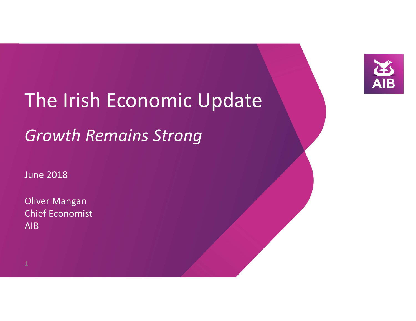

# The Irish Economic Update

# *Growth Remains Strong*

June 2018

Oliver Mangan Chief EconomistAIB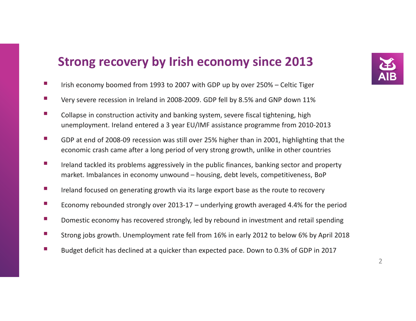# **Strong recovery by Irish economy since 2013**

- $\mathcal{L}_{\mathrm{eff}}$ Irish economy boomed from 1993 to 2007 with GDP up by over 250% – Celtic Tiger
- $\mathcal{L}_{\mathcal{A}}$ Very severe recession in Ireland in 2008-2009. GDP fell by 8.5% and GNP down 11%
- $\mathcal{C}^{\mathcal{A}}$  Collapse in construction activity and banking system, severe fiscal tightening, high unemployment. Ireland entered a 3 year EU/IMF assistance programme from 2010-2013
- $\mathcal{L}_{\mathcal{A}}$  GDP at end of 2008-09 recession was still over 25% higher than in 2001, highlighting that the economic crash came after a long period of very strong growth, unlike in other countries
- $\mathcal{L}_{\mathcal{A}}$  Ireland tackled its problems aggressively in the public finances, banking sector and property market. Imbalances in economy unwound – housing, debt levels, competitiveness, BoP
- $\mathcal{L}_{\mathcal{A}}$ Ireland focused on generating growth via its large export base as the route to recovery
- $\mathbb{R}^n$ Economy rebounded strongly over 2013-17 – underlying growth averaged 4.4% for the period
- $\mathcal{L}_{\mathcal{A}}$ Domestic economy has recovered strongly, led by rebound in investment and retail spending
- $\mathcal{L}_{\mathcal{A}}$ Strong jobs growth. Unemployment rate fell from 16% in early 2012 to below 6% by April 2018
- $\mathcal{L}_{\mathcal{A}}$ Budget deficit has declined at a quicker than expected pace. Down to 0.3% of GDP in 2017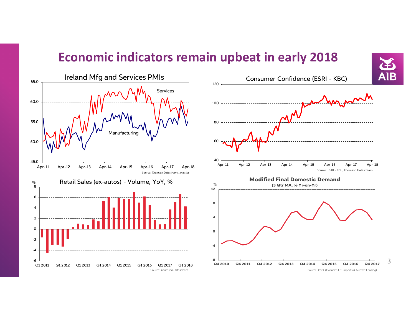# **Economic indicators remain upbeat in early 2018**



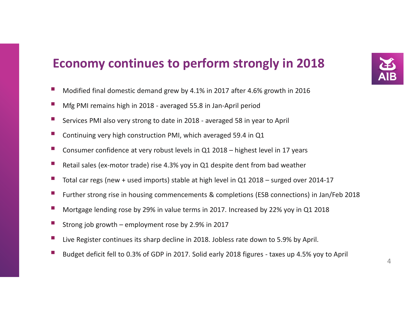# **Economy continues to perform strongly in 2018**

- $\mathbb{R}^n$ Modified final domestic demand grew by 4.1% in 2017 after 4.6% growth in 2016
- $\mathcal{L}_{\mathcal{A}}$ Mfg PMI remains high in 2018 - averaged 55.8 in Jan-April period
- $\mathcal{L}_{\mathcal{A}}$ Services PMI also very strong to date in 2018 - averaged 58 in year to April
- $\mathbb{Z}$ Continuing very high construction PMI, which averaged 59.4 in Q1
- $\mathbb{R}^n$ Consumer confidence at very robust levels in Q1 2018 – highest level in 17 years
- $\mathbb{R}^n$ Retail sales (ex-motor trade) rise 4.3% yoy in Q1 despite dent from bad weather
- $\mathcal{L}_{\mathcal{A}}$ Total car regs (new + used imports) stable at high level in Q1 2018 – surged over 2014-17
- e<br>S Further strong rise in housing commencements & completions (ESB connections) in Jan/Feb 2018
- $\Box$ Mortgage lending rose by 29% in value terms in 2017. Increased by 22% yoy in Q1 2018
- $\Box$ Strong job growth – employment rose by 2.9% in 2017
- $\mathcal{C}^{\mathcal{A}}$ Live Register continues its sharp decline in 2018. Jobless rate down to 5.9% by April.
- $\mathcal{L}_{\mathcal{A}}$ Budget deficit fell to 0.3% of GDP in 2017. Solid early 2018 figures - taxes up 4.5% yoy to April

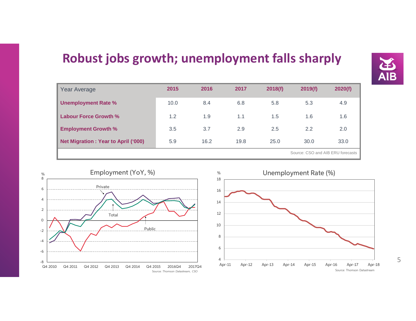# **Robust jobs growth; unemployment falls sharply**

| Year Average                                | 2015 | 2016                              | 2017 | 2018(f) | 2019(f) | 2020(f) |
|---------------------------------------------|------|-----------------------------------|------|---------|---------|---------|
| <b>Unemployment Rate %</b>                  | 10.0 | 8.4                               | 6.8  | 5.8     | 5.3     | 4.9     |
| Labour Force Growth %                       | 1.2  | 1.9                               | 1.1  | 1.5     | 1.6     | 1.6     |
| <b>Employment Growth %</b>                  | 3.5  | 3.7                               | 2.9  | 2.5     | 2.2     | 2.0     |
| <b>Net Migration : Year to April ('000)</b> | 5.9  | 16.2                              | 19.8 | 25.0    | 30.0    | 33.0    |
|                                             |      | Source: CSO and AIB ERU forecasts |      |         |         |         |



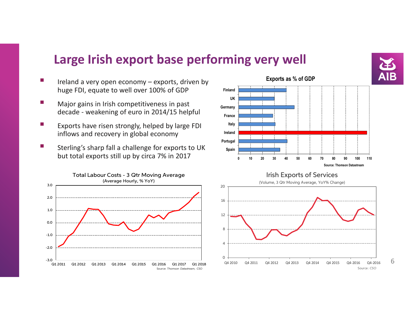# **Large Irish export base performing very well**

- $\mathcal{L}_{\mathcal{A}}$  Ireland a very open economy – exports, driven by huge FDI, equate to well over 100% of GDP
- $\mathcal{L}_{\mathcal{A}}$  Major gains in Irish competitiveness in past decade - weakening of euro in 2014/15 helpful
- $\mathbb{R}^n$  Exports have risen strongly, helped by large FDI inflows and recovery in global economy
- П Sterling's sharp fall a challenge for exports to UK but total exports still up by circa 7% in 2017







6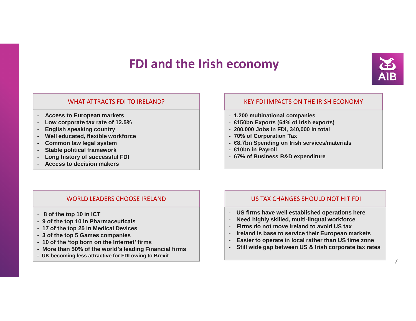# **FDI and the Irish economy**



### WHAT ATTRACTS FDI TO IRFI AND?

- **Access to European markets**
- **Low corporate tax rate of 12.5%**
- **English speaking country**
- **Well educated, flexible workforce**
- **Common law legal system**
- **Stable political framework**
- **Long history of successful FDI**
- **Access to decision makers**

### KEY FDI IMPACTS ON THE IRISH ECONOMY

- **1,200 multinational companies**
- **€150bn Exports (64% of Irish exports)**
- **- 200,000 Jobs in FDI, 340,000 in total**
- **- 70% of Corporation Tax**
- **- €8.7bn Spending on Irish services/materials**
- **- €10bn in Payroll**
- **- 67% of Business R&D expenditure**

#### WORLD LEADERS CHOOSE IRELAND

- **- 8 of the top 10 in ICT**
- **- 9 of the top 10 in Pharmaceuticals**
- **- 17 of the top 25 in Medical Devices**
- **- 3 of the top 5 Games companies**
- **- 10 of the 'top born on the Internet' firms**
- **- More than 50% of the world's leading Financial firms**
- **- UK becoming less attractive for FDI owing to Brexit**

### US TAX CHANGES SHOULD NOT HIT FDI

- **US firms have well established operations here**
- -**Need highly skilled, multi-lingual workforce**
- **Firms do not move Ireland to avoid US tax**-
- **Ireland is base to service their European markets**-
- **Easier to operate in local rather than US time zone**-
- **Still wide gap between US & Irish corporate tax rates**-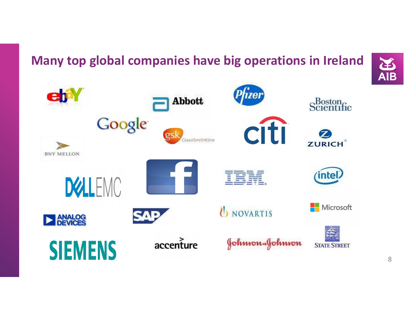# **Many top global companies have big operations in Ireland**



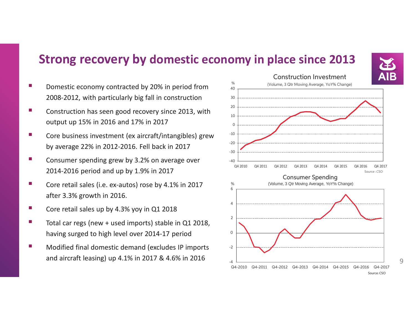### **Strong recovery by domestic economy in place since 2013**

- k. Domestic economy contracted by 20% in period from 2008-2012, with particularly big fall in construction
- F. Construction has seen good recovery since 2013, with output up 15% in 2016 and 17% in 2017
- k. Core business investment (ex aircraft/intangibles) grew by average 22% in 2012-2016. Fell back in 2017
- F. Consumer spending grew by 3.2% on average over 2014-2016 period and up by 1.9% in 2017
- k. Core retail sales (i.e. ex-autos) rose by 4.1% in 2017 after 3.3% growth in 2016.
- F. Core retail sales up by 4.3% yoy in Q1 2018
- k. Total car regs (new + used imports) stable in Q1 2018, having surged to high level over 2014-17 period
- F. Modified final domestic demand (excludes IP imports and aircraft leasing) up 4.1% in 2017 & 4.6% in 2016

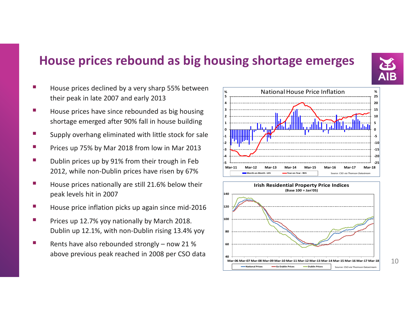# **House prices rebound as big housing shortage emerges**

- House prices declined by a very sharp 55% between their peak in late 2007 and early 2013
- House prices have since rebounded as big housing shortage emerged after 90% fall in house building
- Supply overhang eliminated with little stock for sale
- Prices up 75% by Mar 2018 from low in Mar 2013
- er<br>19 Dublin prices up by 91% from their trough in Feb 2012, while non-Dublin prices have risen by 67%
- er<br>19 House prices nationally are still 21.6% below their peak levels hit in 2007
- **Service Service** House price inflation picks up again since mid-2016
- **Service Service**  Prices up 12.7% yoy nationally by March 2018. Dublin up 12.1%, with non-Dublin rising 13.4% yoy
- **Service Service**  Rents have also rebounded strongly – now 21 % above previous peak reached in 2008 per CSO data







10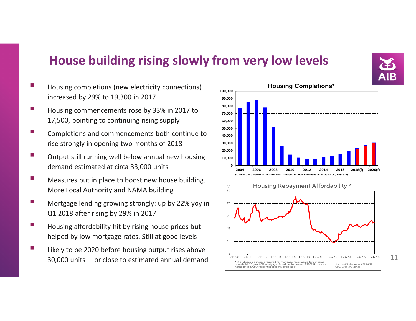# **House building rising slowly from very low levels**

- a<br>Ma Housing completions (new electricity connections) increased by 29% to 19,300 in 2017
- Housing commencements rose by 33% in 2017 to 17,500, pointing to continuing rising supply
- Completions and commencements both continue to rise strongly in opening two months of 2018
- **Service Service**  Output still running well below annual new housing demand estimated at circa 33,000 units
- a<br>Ma Measures put in place to boost new house building. More Local Authority and NAMA building
- **Contract Contract Contract Contract Contract Contract Contract Contract Contract Contract Contract Contract C**  Mortgage lending growing strongly: up by 22% yoy in Q1 2018 after rising by 29% in 2017
- **Service Service**  Housing affordability hit by rising house prices but helped by low mortgage rates. Still at good levels
- **Service Service**  Likely to be 2020 before housing output rises above  $30,000$  units  $-$  or close to estimated annual demand  $11$  Teb-98 Feb-00 Feb-02 Feb-04 Feb-06 Feb-06 Feb-08 Feb-10 Feb-12 Feb-14 Feb-16 Feb-18 11



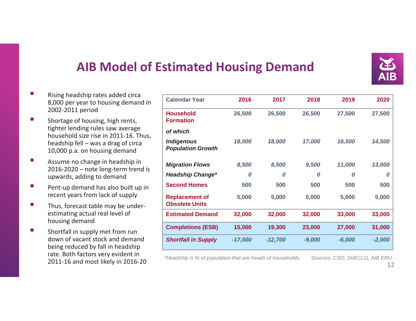

# **AIB Model of Estimated Housing Demand**

- $\mathcal{C}^{\mathcal{A}}$  Rising headship rates added circa 8,000 per year to housing demand in 2002-2011 period
- **I**  Shortage of housing, high rents, tighter lending rules saw average household size rise in 2011-16. Thus, headship fell – was a drag of circa 10,000 p.a. on housing demand
- **I**  Assume no change in headship in 2016-2020 – note long-term trend is upwards, adding to demand
- $\mathcal{L}_{\mathcal{A}}$  Pent-up demand has also built up in recent years from lack of supply
- $\mathcal{C}^{\mathcal{A}}$  Thus, forecast table may be underestimating actual real level of housing demand
- $\overline{\phantom{a}}$  Shortfall in supply met from run down of vacant stock and demand being reduced by fall in headship rate. Both factors very evident in 2011-16 and most likely in 2016-20

| <b>Calendar Year</b>                           | 2016      | 2017      | 2018     | 2019     | 2020     |
|------------------------------------------------|-----------|-----------|----------|----------|----------|
| <b>Household</b><br><b>Formation</b>           | 26,500    | 26,500    | 26,500   | 27,500   | 27,500   |
| of which                                       |           |           |          |          |          |
| <b>Indigenous</b><br><b>Population Growth</b>  | 18,000    | 18,000    | 17,000   | 16,500   | 14,500   |
| <b>Migration Flows</b>                         | 8,500     | 8,500     | 9,500    | 11,000   | 13,000   |
| <b>Headship Change*</b>                        | 0         | 0         | 0        | 0        | 0        |
| <b>Second Homes</b>                            | 500       | 500       | 500      | 500      | 500      |
| <b>Replacement of</b><br><b>Obsolete Units</b> | 5,000     | 5,000     | 5,000    | 5,000    | 5,000    |
| <b>Estimated Demand</b>                        | 32,000    | 32,000    | 32,000   | 33,000   | 33,000   |
| <b>Completions (ESB)</b>                       | 15,000    | 19,300    | 23,000   | 27,000   | 31,000   |
| <b>Shortfall in Supply</b>                     | $-17,000$ | $-12,700$ | $-9,000$ | $-6,000$ | $-2,000$ |

\*Headship is % of population that are heads of households. Sources: CSO, DoECLG, AIB ERU<br>12

Sources: CSO, DoECLG, AIB ERU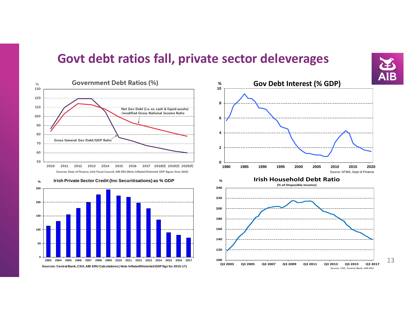### **Govt debt ratios fall, private sector deleverages**



2003 2004 2005 2006 2007 2008 2009 2010 2011 2012 2013 2014 2015 2016 2017 **Sources: Central Bank, CSO, AIB ERU Calculations ( Note Inflated/Distorted GDP figs for 2015-17)**

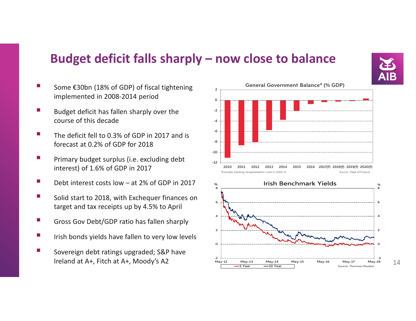# **Budget deficit falls sharply – now close to balance**

 $-2$  $Mav-12$ 

-5 Year



- **Service Service**  Some €30bn (18% of GDP) of fiscal tightening implemented in 2008-2014 period
- e<br>S Budget deficit has fallen sharply over the course of this decade
- e<br>S The deficit fell to 0.3% of GDP in 2017 and is forecast at 0.2% of GDP for 2018
- e<br>S Primary budget surplus (i.e. excluding debt interest) of 1.6% of GDP in 2017
- **Service Service** Debt interest costs low – at 2% of GDP in 2017
- **Contract Contract Contract Contract Contract Contract Contract Contract Contract Contract Contract Contract C**  Solid start to 2018, with Exchequer finances on target and tax receipts up by 4.5% to April
- **Contract Contract Contract Contract Contract Contract Contract Contract Contract Contract Contract Contract C** Gross Gov Debt/GDP ratio has fallen sharply
- **Contract Contract Contract Contract Contract Contract Contract Contract Contract Contract Contract Contract C** Irish bonds yields have fallen to very low levels
- **Service Service**  Sovereign debt ratings upgraded; S&P have Ireland at A+, Fitch at A+, Moody's A2 $\angle$  May-12 May-13 May-14 May-15 May-16 May-17 May-18 1 $\frac{1}{4}$



May-12 May-13 May-14 May-15 May-16 May-17 May-18

**10 Year Source: Thomson Reuters**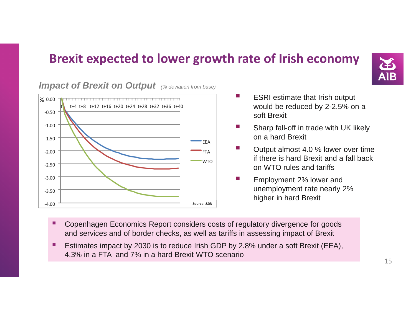# **Brexit expected to lower growth rate of Irish economy**



 $\frac{9}{6}$  0.00 t+4 t+8 t+12 t+16 t+20 t+24 t+28 t+32 t+36 t+40  $-0.50$  $-1.00$  $-1.50$  $FF\Delta$  $-2.00$ **WTO**  $-2.50$  $-3.00$  $-3.50$  $-4.00$ Source: ESRI

- ESRI estimate that Irish output would be reduced by 2-2.5% on a soft Brexit
- Sharp fall-off in trade with UK likely on a hard Brexit
- **The State**  Output almost 4.0 % lower over time if there is hard Brexit and a fall back on WTO rules and tariffs
- Employment 2% lower and unemployment rate nearly 2% higher in hard Brexit
- $\blacksquare$  Copenhagen Economics Report considers costs of regulatory divergence for goods and services and of border checks, as well as tariffs in assessing impact of Brexit
- Ξ Estimates impact by 2030 is to reduce Irish GDP by 2.8% under a soft Brexit (EEA), 4.3% in a FTA and 7% in a hard Brexit WTO scenario

### **Impact of Brexit on Output** (% deviation from base)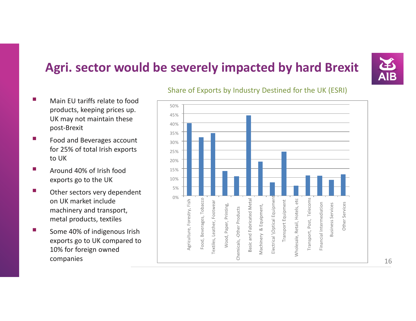# **Agri. sector would be severely impacted by hard Brexit**



- k. Main EU tariffs relate to food products, keeping prices up. UK may not maintain these post-Brexit
- P. Food and Beverages account for 25% of total Irish exports to UK
- P) Around 40% of Irish food exports go to the UK
- P. Other sectors very dependent on UK market include machinery and transport, metal products, textiles
- **The State**  Some 40% of indigenous Irish exports go to UK compared to 10% for foreign owned companies



### Share of Exports by Industry Destined for the UK (ESRI)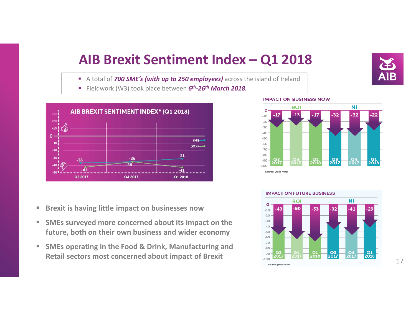# **AIB Brexit Sentiment Index – Q1 2018**

- A total of *700 SME's (with up to 250 employees)* across the island of Ireland
- Fieldwork (W3) took place between *6th-26th March 2018.*



- $\overline{\phantom{a}}$ **Brexit is having little impact on businesses now**
- $\blacksquare$  **SMEs surveyed more concerned about its impact on the future, both on their own business and wider economy**
- $\overline{\phantom{a}}$  **SMEs operating in the Food & Drink, Manufacturing and Retail sectors most concerned about impact of Brexit**

#### **IMPACT ON BUSINESS NOW**



#### **IMPACT ON FUTURE BUSINESS**

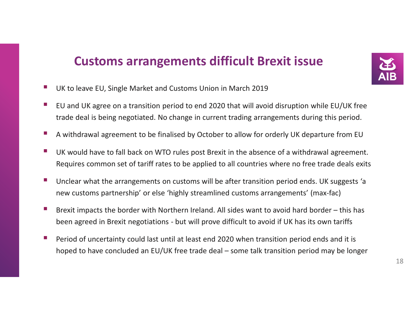# **Customs arrangements difficult Brexit issue**



- **Service Service** UK to leave EU, Single Market and Customs Union in March 2019
- **Service Service**  EU and UK agree on a transition period to end 2020 that will avoid disruption while EU/UK free trade deal is being negotiated. No change in current trading arrangements during this period.
- **Service Service** A withdrawal agreement to be finalised by October to allow for orderly UK departure from EU
- **Service Service**  UK would have to fall back on WTO rules post Brexit in the absence of a withdrawal agreement. Requires common set of tariff rates to be applied to all countries where no free trade deals exits
- **Service Service**  Unclear what the arrangements on customs will be after transition period ends. UK suggests 'a new customs partnership' or else 'highly streamlined customs arrangements' (max-fac)
- $\mathcal{L}_{\mathcal{A}}$  Brexit impacts the border with Northern Ireland. All sides want to avoid hard border – this has been agreed in Brexit negotiations - but will prove difficult to avoid if UK has its own tariffs
- **Service Service**  Period of uncertainty could last until at least end 2020 when transition period ends and it is hoped to have concluded an EU/UK free trade deal – some talk transition period may be longer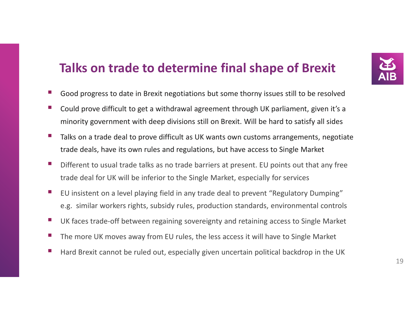# **Talks on trade to determine final shape of Brexit**

- **Service Service** Good progress to date in Brexit negotiations but some thorny issues still to be resolved
- $\mathcal{C}_{\mathcal{A}}$  Could prove difficult to get a withdrawal agreement through UK parliament, given it's a minority government with deep divisions still on Brexit. Will be hard to satisfy all sides
- **Service Service**  Talks on a trade deal to prove difficult as UK wants own customs arrangements, negotiate trade deals, have its own rules and regulations, but have access to Single Market
- **The State**  Different to usual trade talks as no trade barriers at present. EU points out that any free trade deal for UK will be inferior to the Single Market, especially for services
- $\mathbb{R}^3$  EU insistent on a level playing field in any trade deal to prevent "Regulatory Dumping" e.g. similar workers rights, subsidy rules, production standards, environmental controls
- $\mathcal{C}^{\mathcal{A}}$ UK faces trade-off between regaining sovereignty and retaining access to Single Market
- $\mathcal{L}_{\mathcal{A}}$ The more UK moves away from EU rules, the less access it will have to Single Market
- $\mathbb{R}^3$ Hard Brexit cannot be ruled out, especially given uncertain political backdrop in the UK

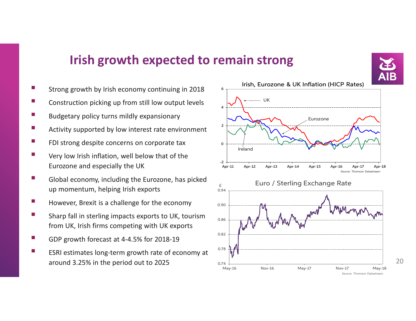### **Irish growth expected to remain strong**

0.74 $May-16$ 

- **Contract Contract Contract Contract Contract Contract Contract Contract Contract Contract Contract Contract C** Strong growth by Irish economy continuing in 2018
- **Contract Contract Contract Contract Contract Contract Contract Contract Contract Contract Contract Contract C** Construction picking up from still low output levels
- **Contract Contract Contract Contract Contract Contract Contract Contract Contract Contract Contract Contract C** Budgetary policy turns mildly expansionary
- **Contract Contract Contract Contract Contract Contract Contract Contract Contract Contract Contract Contract C** Activity supported by low interest rate environment
- e<br>Ve FDI strong despite concerns on corporate tax
- П Very low Irish inflation, well below that of the Eurozone and especially the UK
- **Contract Contract Contract Contract Contract Contract Contract Contract Contract Contract Contract Contract C**  Global economy, including the Eurozone, has picked up momentum, helping Irish exports
- **Service Service** However, Brexit is a challenge for the economy
- **Contract Contract Contract Contract Contract Contract Contract Contract Contract Contract Contract Contract C**  Sharp fall in sterling impacts exports to UK, tourism from UK, Irish firms competing with UK exports
- e<br>Ve GDP growth forecast at 4-4.5% for 2018-19
- **Service Service**  ESRI estimates long-term growth rate of economy at around 3.25% in the period out to 2025 $\frac{5}{20}$  0.74  $\frac{1}{20}$  20



May-16 Nov-16 May-17 Nov-17 May-18

Source: Thomson Datastream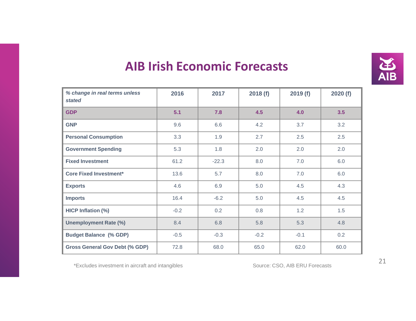

# **AIB Irish Economic Forecasts**

| % change in real terms unless<br>stated | 2016   | 2017    | 2018(f) | 2019(f) | 2020(f) |
|-----------------------------------------|--------|---------|---------|---------|---------|
| <b>GDP</b>                              | 5.1    | 7.8     | 4.5     | 4.0     | 3.5     |
| <b>GNP</b>                              | 9.6    | 6.6     | 4.2     | 3.7     | 3.2     |
| <b>Personal Consumption</b>             | 3.3    | 1.9     | 2.7     | 2.5     | 2.5     |
| <b>Government Spending</b>              | 5.3    | 1.8     | 2.0     | 2.0     | 2.0     |
| <b>Fixed Investment</b>                 | 61.2   | $-22.3$ | 8.0     | 7.0     | 6.0     |
| <b>Core Fixed Investment*</b>           | 13.6   | 5.7     | 8.0     | 7.0     | 6.0     |
| <b>Exports</b>                          | 4.6    | 6.9     | 5.0     | 4.5     | 4.3     |
| <b>Imports</b>                          | 16.4   | $-6.2$  | 5.0     | 4.5     | 4.5     |
| HICP Inflation (%)                      | $-0.2$ | 0.2     | 0.8     | 1.2     | 1.5     |
| <b>Unemployment Rate (%)</b>            | 8.4    | 6.8     | 5.8     | 5.3     | 4.8     |
| <b>Budget Balance (% GDP)</b>           | $-0.5$ | $-0.3$  | $-0.2$  | $-0.1$  | 0.2     |
| <b>Gross General Gov Debt (% GDP)</b>   | 72.8   | 68.0    | 65.0    | 62.0    | 60.0    |

\*Excludes investment in aircraft and intangibles <sup>21</sup>

Source: CSO, AIB ERU Forecasts